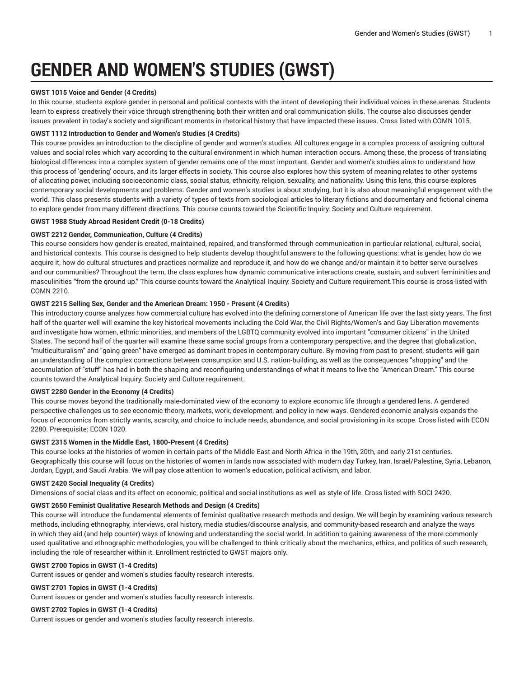# **GENDER AND WOMEN'S STUDIES (GWST)**

# **GWST 1015 Voice and Gender (4 Credits)**

In this course, students explore gender in personal and political contexts with the intent of developing their individual voices in these arenas. Students learn to express creatively their voice through strengthening both their written and oral communication skills. The course also discusses gender issues prevalent in today's society and significant moments in rhetorical history that have impacted these issues. Cross listed with COMN 1015.

# **GWST 1112 Introduction to Gender and Women's Studies (4 Credits)**

This course provides an introduction to the discipline of gender and women's studies. All cultures engage in a complex process of assigning cultural values and social roles which vary according to the cultural environment in which human interaction occurs. Among these, the process of translating biological differences into a complex system of gender remains one of the most important. Gender and women's studies aims to understand how this process of 'gendering' occurs, and its larger effects in society. This course also explores how this system of meaning relates to other systems of allocating power, including socioeconomic class, social status, ethnicity, religion, sexuality, and nationality. Using this lens, this course explores contemporary social developments and problems. Gender and women's studies is about studying, but it is also about meaningful engagement with the world. This class presents students with a variety of types of texts from sociological articles to literary fictions and documentary and fictional cinema to explore gender from many different directions. This course counts toward the Scientific Inquiry: Society and Culture requirement.

# **GWST 1988 Study Abroad Resident Credit (0-18 Credits)**

# **GWST 2212 Gender, Communication, Culture (4 Credits)**

This course considers how gender is created, maintained, repaired, and transformed through communication in particular relational, cultural, social, and historical contexts. This course is designed to help students develop thoughtful answers to the following questions: what is gender, how do we acquire it, how do cultural structures and practices normalize and reproduce it, and how do we change and/or maintain it to better serve ourselves and our communities? Throughout the term, the class explores how dynamic communicative interactions create, sustain, and subvert femininities and masculinities "from the ground up." This course counts toward the Analytical Inquiry: Society and Culture requirement.This course is cross-listed with COMN 2210.

# **GWST 2215 Selling Sex, Gender and the American Dream: 1950 - Present (4 Credits)**

This introductory course analyzes how commercial culture has evolved into the defining cornerstone of American life over the last sixty years. The first half of the quarter well will examine the key historical movements including the Cold War, the Civil Rights/Women's and Gay Liberation movements and investigate how women, ethnic minorities, and members of the LGBTQ community evolved into important "consumer citizens" in the United States. The second half of the quarter will examine these same social groups from a contemporary perspective, and the degree that globalization, "multiculturalism" and "going green" have emerged as dominant tropes in contemporary culture. By moving from past to present, students will gain an understanding of the complex connections between consumption and U.S. nation-building, as well as the consequences "shopping" and the accumulation of "stuff" has had in both the shaping and reconfiguring understandings of what it means to live the "American Dream." This course counts toward the Analytical Inquiry: Society and Culture requirement.

# **GWST 2280 Gender in the Economy (4 Credits)**

This course moves beyond the traditionally male-dominated view of the economy to explore economic life through a gendered lens. A gendered perspective challenges us to see economic theory, markets, work, development, and policy in new ways. Gendered economic analysis expands the focus of economics from strictly wants, scarcity, and choice to include needs, abundance, and social provisioning in its scope. Cross listed with ECON 2280. Prerequisite: ECON 1020.

# **GWST 2315 Women in the Middle East, 1800-Present (4 Credits)**

This course looks at the histories of women in certain parts of the Middle East and North Africa in the 19th, 20th, and early 21st centuries. Geographically this course will focus on the histories of women in lands now associated with modern day Turkey, Iran, Israel/Palestine, Syria, Lebanon, Jordan, Egypt, and Saudi Arabia. We will pay close attention to women's education, political activism, and labor.

# **GWST 2420 Social Inequality (4 Credits)**

Dimensions of social class and its effect on economic, political and social institutions as well as style of life. Cross listed with SOCI 2420.

# **GWST 2650 Feminist Qualitative Research Methods and Design (4 Credits)**

This course will introduce the fundamental elements of feminist qualitative research methods and design. We will begin by examining various research methods, including ethnography, interviews, oral history, media studies/discourse analysis, and community-based research and analyze the ways in which they aid (and help counter) ways of knowing and understanding the social world. In addition to gaining awareness of the more commonly used qualitative and ethnographic methodologies, you will be challenged to think critically about the mechanics, ethics, and politics of such research, including the role of researcher within it. Enrollment restricted to GWST majors only.

# **GWST 2700 Topics in GWST (1-4 Credits)**

Current issues or gender and women's studies faculty research interests.

# **GWST 2701 Topics in GWST (1-4 Credits)**

Current issues or gender and women's studies faculty research interests.

# **GWST 2702 Topics in GWST (1-4 Credits)**

Current issues or gender and women's studies faculty research interests.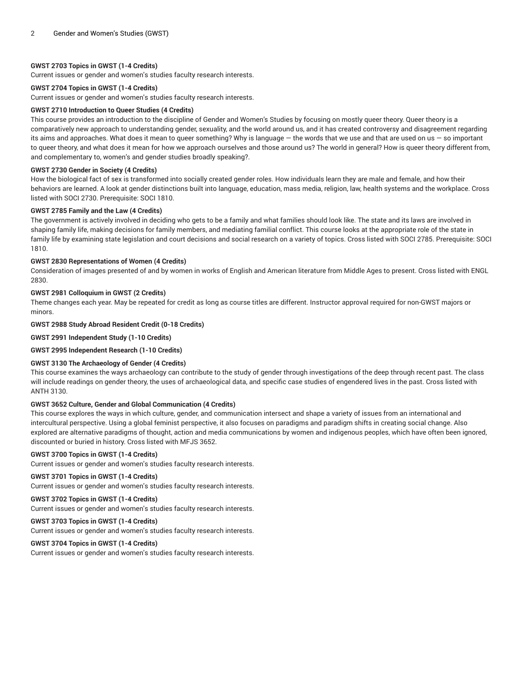# **GWST 2703 Topics in GWST (1-4 Credits)**

Current issues or gender and women's studies faculty research interests.

#### **GWST 2704 Topics in GWST (1-4 Credits)**

Current issues or gender and women's studies faculty research interests.

#### **GWST 2710 Introduction to Queer Studies (4 Credits)**

This course provides an introduction to the discipline of Gender and Women's Studies by focusing on mostly queer theory. Queer theory is a comparatively new approach to understanding gender, sexuality, and the world around us, and it has created controversy and disagreement regarding its aims and approaches. What does it mean to queer something? Why is language — the words that we use and that are used on us — so important to queer theory, and what does it mean for how we approach ourselves and those around us? The world in general? How is queer theory different from, and complementary to, women's and gender studies broadly speaking?.

# **GWST 2730 Gender in Society (4 Credits)**

How the biological fact of sex is transformed into socially created gender roles. How individuals learn they are male and female, and how their behaviors are learned. A look at gender distinctions built into language, education, mass media, religion, law, health systems and the workplace. Cross listed with SOCI 2730. Prerequisite: SOCI 1810.

#### **GWST 2785 Family and the Law (4 Credits)**

The government is actively involved in deciding who gets to be a family and what families should look like. The state and its laws are involved in shaping family life, making decisions for family members, and mediating familial conflict. This course looks at the appropriate role of the state in family life by examining state legislation and court decisions and social research on a variety of topics. Cross listed with SOCI 2785. Prerequisite: SOCI 1810.

#### **GWST 2830 Representations of Women (4 Credits)**

Consideration of images presented of and by women in works of English and American literature from Middle Ages to present. Cross listed with ENGL 2830.

# **GWST 2981 Colloquium in GWST (2 Credits)**

Theme changes each year. May be repeated for credit as long as course titles are different. Instructor approval required for non-GWST majors or minors.

#### **GWST 2988 Study Abroad Resident Credit (0-18 Credits)**

**GWST 2991 Independent Study (1-10 Credits)**

#### **GWST 2995 Independent Research (1-10 Credits)**

# **GWST 3130 The Archaeology of Gender (4 Credits)**

This course examines the ways archaeology can contribute to the study of gender through investigations of the deep through recent past. The class will include readings on gender theory, the uses of archaeological data, and specific case studies of engendered lives in the past. Cross listed with ANTH 3130.

# **GWST 3652 Culture, Gender and Global Communication (4 Credits)**

This course explores the ways in which culture, gender, and communication intersect and shape a variety of issues from an international and intercultural perspective. Using a global feminist perspective, it also focuses on paradigms and paradigm shifts in creating social change. Also explored are alternative paradigms of thought, action and media communications by women and indigenous peoples, which have often been ignored, discounted or buried in history. Cross listed with MFJS 3652.

#### **GWST 3700 Topics in GWST (1-4 Credits)**

Current issues or gender and women's studies faculty research interests.

# **GWST 3701 Topics in GWST (1-4 Credits)**

Current issues or gender and women's studies faculty research interests.

#### **GWST 3702 Topics in GWST (1-4 Credits)**

Current issues or gender and women's studies faculty research interests.

# **GWST 3703 Topics in GWST (1-4 Credits)**

Current issues or gender and women's studies faculty research interests.

#### **GWST 3704 Topics in GWST (1-4 Credits)**

Current issues or gender and women's studies faculty research interests.